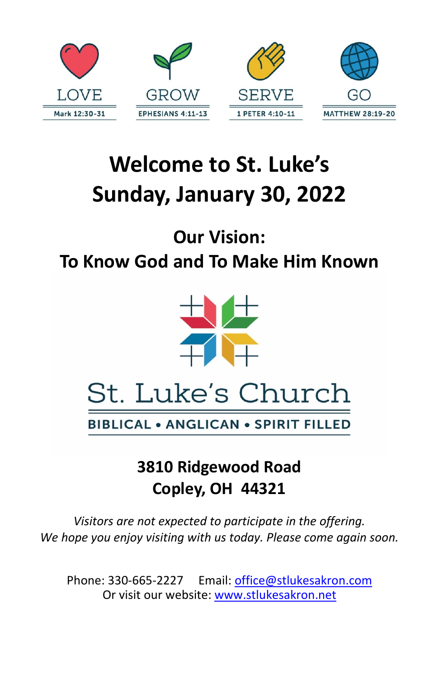

## **Welcome to St. Luke's Sunday, January 30, 2022**

### **Our Vision:**

**To Know God and To Make Him Known**



# St. Luke's Church

**BIBLICAL • ANGLICAN • SPIRIT FILLED** 

**3810 Ridgewood Road Copley, OH 44321**

*Visitors are not expected to participate in the offering. We hope you enjoy visiting with us today. Please come again soon.* 

Phone: 330-665-2227 Email: [office@stlukesakron.com](mailto:office@stlukesakron.com) Or visit our website: [www.stlukesakron.net](http://www.stlukesakron.net/)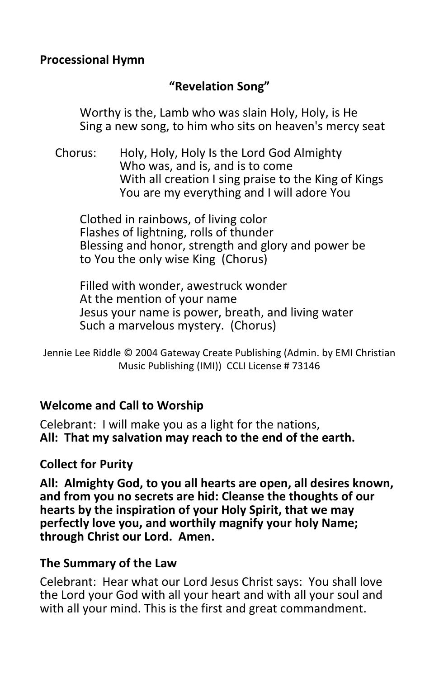#### **"Revelation Song"**

Worthy is the, Lamb who was slain Holy, Holy, is He Sing a new song, to him who sits on heaven's mercy seat

 Chorus: Holy, Holy, Holy Is the Lord God Almighty Who was, and is, and is to come With all creation I sing praise to the King of Kings You are my everything and I will adore You

Clothed in rainbows, of living color Flashes of lightning, rolls of thunder Blessing and honor, strength and glory and power be to You the only wise King (Chorus)

Filled with wonder, awestruck wonder At the mention of your name Jesus your name is power, breath, and living water Such a marvelous mystery. (Chorus)

Jennie Lee Riddle © 2004 Gateway Create Publishing (Admin. by EMI Christian Music Publishing (IMI)) CCLI License # 73146

#### **Welcome and Call to Worship**

Celebrant: I will make you as a light for the nations, **All: That my salvation may reach to the end of the earth.**

#### **Collect for Purity**

**All: Almighty God, to you all hearts are open, all desires known, and from you no secrets are hid: Cleanse the thoughts of our hearts by the inspiration of your Holy Spirit, that we may perfectly love you, and worthily magnify your holy Name; through Christ our Lord. Amen.**

#### **The Summary of the Law**

Celebrant: Hear what our Lord Jesus Christ says: You shall love the Lord your God with all your heart and with all your soul and with all your mind. This is the first and great commandment.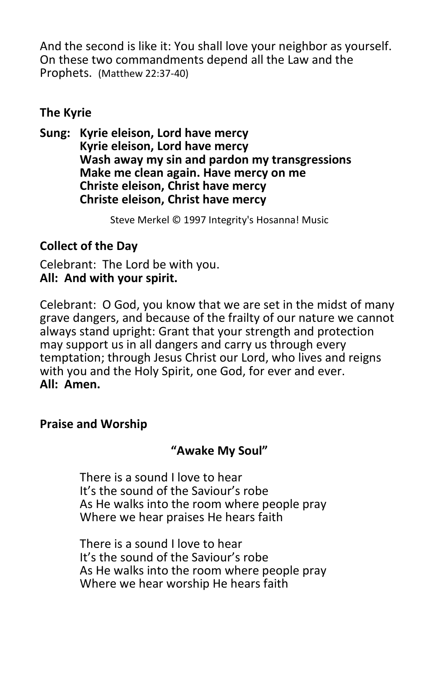And the second is like it: You shall love your neighbor as yourself. On these two commandments depend all the Law and the Prophets. (Matthew 22:37-40)

#### **The Kyrie**

**Sung: Kyrie eleison, Lord have mercy Kyrie eleison, Lord have mercy Wash away my sin and pardon my transgressions Make me clean again. Have mercy on me Christe eleison, Christ have mercy Christe eleison, Christ have mercy**

Steve Merkel © 1997 Integrity's Hosanna! Music

#### **Collect of the Day**

Celebrant: The Lord be with you. **All: And with your spirit.**

Celebrant: O God, you know that we are set in the midst of many grave dangers, and because of the frailty of our nature we cannot always stand upright: Grant that your strength and protection may support us in all dangers and carry us through every temptation; through Jesus Christ our Lord, who lives and reigns with you and the Holy Spirit, one God, for ever and ever. **All: Amen.**

#### **Praise and Worship**

#### **"Awake My Soul"**

There is a sound I love to hear It's the sound of the Saviour's robe As He walks into the room where people pray Where we hear praises He hears faith

There is a sound I love to hear It's the sound of the Saviour's robe As He walks into the room where people pray Where we hear worship He hears faith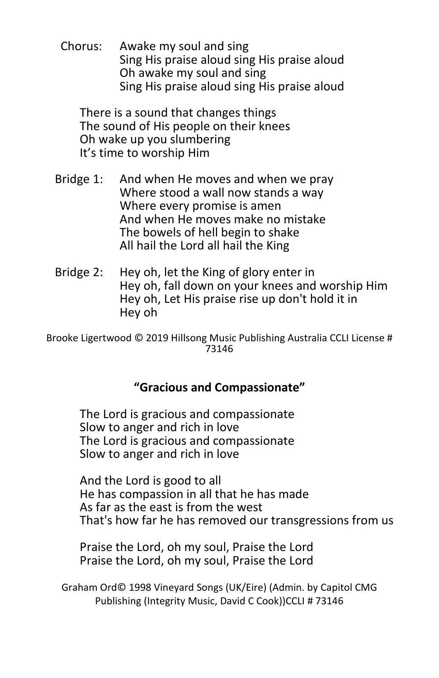Chorus: Awake my soul and sing Sing His praise aloud sing His praise aloud Oh awake my soul and sing Sing His praise aloud sing His praise aloud

There is a sound that changes things The sound of His people on their knees Oh wake up you slumbering It's time to worship Him

- Bridge 1: And when He moves and when we pray Where stood a wall now stands a way Where every promise is amen And when He moves make no mistake The bowels of hell begin to shake All hail the Lord all hail the King
- Bridge 2: Hey oh, let the King of glory enter in Hey oh, fall down on your knees and worship Him Hey oh, Let His praise rise up don't hold it in Hey oh

Brooke Ligertwood © 2019 Hillsong Music Publishing Australia CCLI License # 73146

#### **"Gracious and Compassionate"**

The Lord is gracious and compassionate Slow to anger and rich in love The Lord is gracious and compassionate Slow to anger and rich in love

And the Lord is good to all He has compassion in all that he has made As far as the east is from the west That's how far he has removed our transgressions from us

Praise the Lord, oh my soul, Praise the Lord Praise the Lord, oh my soul, Praise the Lord

Graham Ord© 1998 Vineyard Songs (UK/Eire) (Admin. by Capitol CMG Publishing (Integrity Music, David C Cook))CCLI # 73146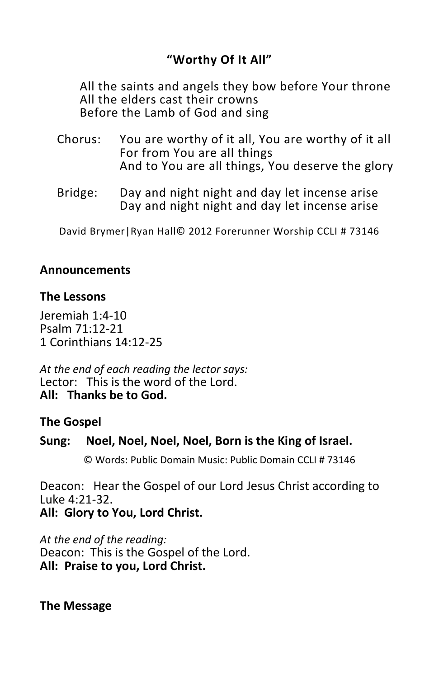#### **"Worthy Of It All"**

All the saints and angels they bow before Your throne All the elders cast their crowns Before the Lamb of God and sing

- Chorus: You are worthy of it all, You are worthy of it all For from You are all things And to You are all things, You deserve the glory
- Bridge: Day and night night and day let incense arise Day and night night and day let incense arise

David Brymer|Ryan Hall© 2012 Forerunner Worship CCLI # 73146

#### **Announcements**

#### **The Lessons**

Jeremiah 1:4-10 Psalm 71:12-21 1 Corinthians 14:12-25

*At the end of each reading the lector says:* Lector: This is the word of the Lord. **All: Thanks be to God.** 

#### **The Gospel**

#### **Sung: Noel, Noel, Noel, Noel, Born is the King of Israel.**

© Words: Public Domain Music: Public Domain CCLI # 73146

Deacon: Hear the Gospel of our Lord Jesus Christ according to Luke 4:21-32. **All: Glory to You, Lord Christ.**

*At the end of the reading:* Deacon: This is the Gospel of the Lord. **All: Praise to you, Lord Christ.**

**The Message**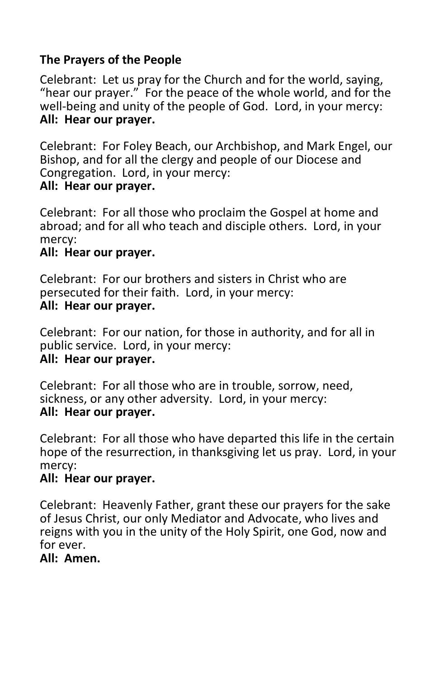#### **The Prayers of the People**

Celebrant: Let us pray for the Church and for the world, saying, "hear our prayer." For the peace of the whole world, and for the well-being and unity of the people of God. Lord, in your mercy: **All: Hear our prayer.** 

Celebrant: For Foley Beach, our Archbishop, and Mark Engel, our Bishop, and for all the clergy and people of our Diocese and Congregation. Lord, in your mercy:

#### **All: Hear our prayer.**

Celebrant: For all those who proclaim the Gospel at home and abroad; and for all who teach and disciple others. Lord, in your mercy:

#### **All: Hear our prayer.**

Celebrant: For our brothers and sisters in Christ who are persecuted for their faith. Lord, in your mercy: **All: Hear our prayer.** 

Celebrant: For our nation, for those in authority, and for all in public service. Lord, in your mercy:

#### **All: Hear our prayer.**

Celebrant: For all those who are in trouble, sorrow, need, sickness, or any other adversity. Lord, in your mercy: **All: Hear our prayer.** 

Celebrant: For all those who have departed this life in the certain hope of the resurrection, in thanksgiving let us pray. Lord, in your mercy:

#### **All: Hear our prayer.**

Celebrant: Heavenly Father, grant these our prayers for the sake of Jesus Christ, our only Mediator and Advocate, who lives and reigns with you in the unity of the Holy Spirit, one God, now and for ever.

#### **All: Amen.**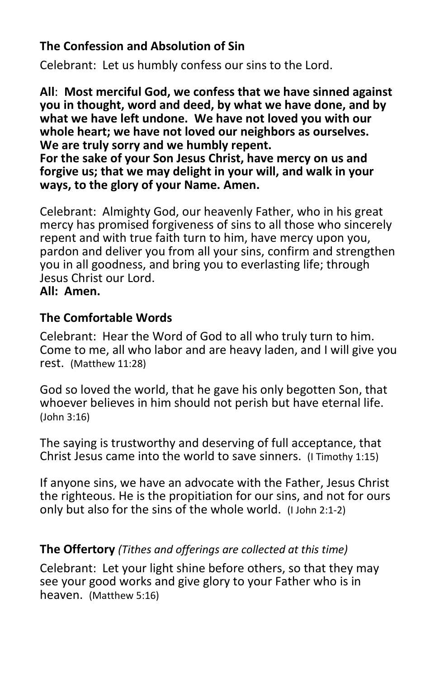#### **The Confession and Absolution of Sin**

Celebrant: Let us humbly confess our sins to the Lord.

**All**: **Most merciful God, we confess that we have sinned against you in thought, word and deed, by what we have done, and by what we have left undone. We have not loved you with our whole heart; we have not loved our neighbors as ourselves. We are truly sorry and we humbly repent.** 

**For the sake of your Son Jesus Christ, have mercy on us and forgive us; that we may delight in your will, and walk in your ways, to the glory of your Name. Amen.**

Celebrant: Almighty God, our heavenly Father, who in his great mercy has promised forgiveness of sins to all those who sincerely repent and with true faith turn to him, have mercy upon you, pardon and deliver you from all your sins, confirm and strengthen you in all goodness, and bring you to everlasting life; through Jesus Christ our Lord. **All: Amen.**

#### **The Comfortable Words**

Celebrant: Hear the Word of God to all who truly turn to him. Come to me, all who labor and are heavy laden, and I will give you rest. (Matthew 11:28)

God so loved the world, that he gave his only begotten Son, that whoever believes in him should not perish but have eternal life. (John 3:16)

The saying is trustworthy and deserving of full acceptance, that Christ Jesus came into the world to save sinners. (I Timothy 1:15)

If anyone sins, we have an advocate with the Father, Jesus Christ the righteous. He is the propitiation for our sins, and not for ours only but also for the sins of the whole world. (I John 2:1-2)

#### **The Offertory** *(Tithes and offerings are collected at this time)*

Celebrant: Let your light shine before others, so that they may see your good works and give glory to your Father who is in heaven. (Matthew 5:16)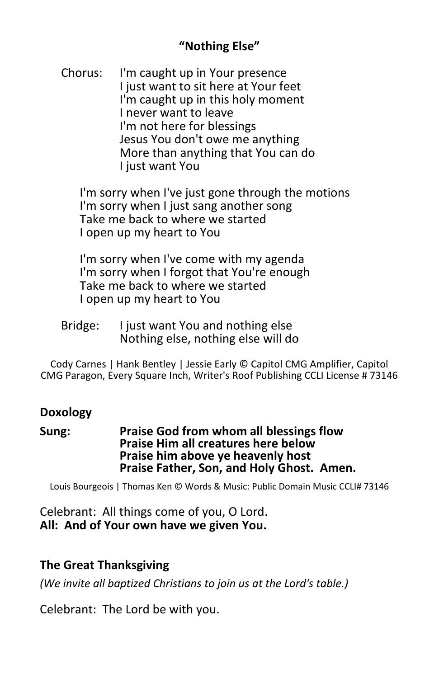Chorus: I'm caught up in Your presence I just want to sit here at Your feet I'm caught up in this holy moment I never want to leave I'm not here for blessings Jesus You don't owe me anything More than anything that You can do I just want You

I'm sorry when I've just gone through the motions I'm sorry when I just sang another song Take me back to where we started I open up my heart to You

I'm sorry when I've come with my agenda I'm sorry when I forgot that You're enough Take me back to where we started I open up my heart to You

 Bridge: I just want You and nothing else Nothing else, nothing else will do

Cody Carnes | Hank Bentley | Jessie Early © Capitol CMG Amplifier, Capitol CMG Paragon, Every Square Inch, Writer's Roof Publishing CCLI License # 73146

#### **Doxology**

**Sung: Praise God from whom all blessings flow Praise Him all creatures here below Praise him above ye heavenly host Praise Father, Son, and Holy Ghost. Amen.**

Louis Bourgeois | Thomas Ken © Words & Music: Public Domain Music CCLI# 73146

Celebrant: All things come of you, O Lord. **All: And of Your own have we given You.**

#### **The Great Thanksgiving**

*(We invite all baptized Christians to join us at the Lord's table.)*

Celebrant: The Lord be with you.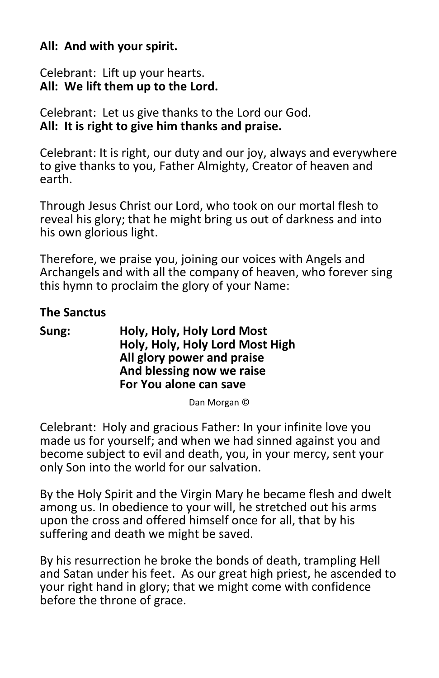#### **All: And with your spirit.**

#### Celebrant: Lift up your hearts. **All: We lift them up to the Lord.**

Celebrant: Let us give thanks to the Lord our God. **All: It is right to give him thanks and praise.**

Celebrant: It is right, our duty and our joy, always and everywhere to give thanks to you, Father Almighty, Creator of heaven and earth.

Through Jesus Christ our Lord, who took on our mortal flesh to reveal his glory; that he might bring us out of darkness and into his own glorious light.

Therefore, we praise you, joining our voices with Angels and Archangels and with all the company of heaven, who forever sing this hymn to proclaim the glory of your Name:

#### **The Sanctus**

**Sung: Holy, Holy, Holy Lord Most Holy, Holy, Holy Lord Most High All glory power and praise And blessing now we raise For You alone can save**

Dan Morgan ©

Celebrant: Holy and gracious Father: In your infinite love you made us for yourself; and when we had sinned against you and become subject to evil and death, you, in your mercy, sent your only Son into the world for our salvation.

By the Holy Spirit and the Virgin Mary he became flesh and dwelt among us. In obedience to your will, he stretched out his arms upon the cross and offered himself once for all, that by his suffering and death we might be saved.

By his resurrection he broke the bonds of death, trampling Hell and Satan under his feet. As our great high priest, he ascended to your right hand in glory; that we might come with confidence before the throne of grace.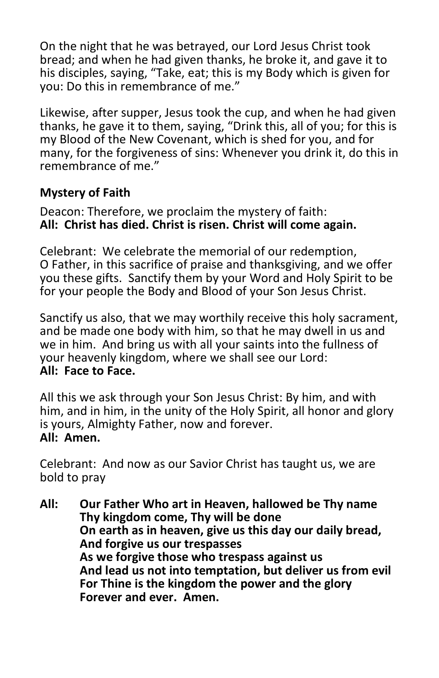On the night that he was betrayed, our Lord Jesus Christ took bread; and when he had given thanks, he broke it, and gave it to his disciples, saying, "Take, eat; this is my Body which is given for you: Do this in remembrance of me."

Likewise, after supper, Jesus took the cup, and when he had given thanks, he gave it to them, saying, "Drink this, all of you; for this is my Blood of the New Covenant, which is shed for you, and for many, for the forgiveness of sins: Whenever you drink it, do this in remembrance of me."

#### **Mystery of Faith**

Deacon: Therefore, we proclaim the mystery of faith: **All: Christ has died. Christ is risen. Christ will come again.**

Celebrant: We celebrate the memorial of our redemption, O Father, in this sacrifice of praise and thanksgiving, and we offer you these gifts. Sanctify them by your Word and Holy Spirit to be for your people the Body and Blood of your Son Jesus Christ.

Sanctify us also, that we may worthily receive this holy sacrament, and be made one body with him, so that he may dwell in us and we in him. And bring us with all your saints into the fullness of your heavenly kingdom, where we shall see our Lord: **All: Face to Face.**

All this we ask through your Son Jesus Christ: By him, and with him, and in him, in the unity of the Holy Spirit, all honor and glory is yours, Almighty Father, now and forever. **All: Amen.**

Celebrant: And now as our Savior Christ has taught us, we are bold to pray

**All: Our Father Who art in Heaven, hallowed be Thy name Thy kingdom come, Thy will be done On earth as in heaven, give us this day our daily bread, And forgive us our trespasses As we forgive those who trespass against us And lead us not into temptation, but deliver us from evil For Thine is the kingdom the power and the glory Forever and ever. Amen.**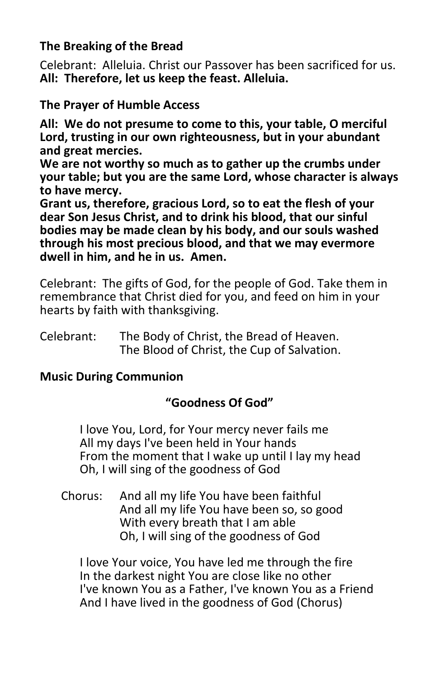#### **The Breaking of the Bread**

Celebrant: Alleluia. Christ our Passover has been sacrificed for us. **All: Therefore, let us keep the feast. Alleluia.** 

#### **The Prayer of Humble Access**

**All: We do not presume to come to this, your table, O merciful Lord, trusting in our own righteousness, but in your abundant and great mercies.** 

**We are not worthy so much as to gather up the crumbs under your table; but you are the same Lord, whose character is always to have mercy.** 

**Grant us, therefore, gracious Lord, so to eat the flesh of your dear Son Jesus Christ, and to drink his blood, that our sinful bodies may be made clean by his body, and our souls washed through his most precious blood, and that we may evermore dwell in him, and he in us. Amen.**

Celebrant: The gifts of God, for the people of God. Take them in remembrance that Christ died for you, and feed on him in your hearts by faith with thanksgiving.

Celebrant: The Body of Christ, the Bread of Heaven. The Blood of Christ, the Cup of Salvation.

#### **Music During Communion**

#### **"Goodness Of God"**

I love You, Lord, for Your mercy never fails me All my days I've been held in Your hands From the moment that I wake up until I lay my head Oh, I will sing of the goodness of God

 Chorus: And all my life You have been faithful And all my life You have been so, so good With every breath that I am able Oh, I will sing of the goodness of God

I love Your voice, You have led me through the fire In the darkest night You are close like no other I've known You as a Father, I've known You as a Friend And I have lived in the goodness of God (Chorus)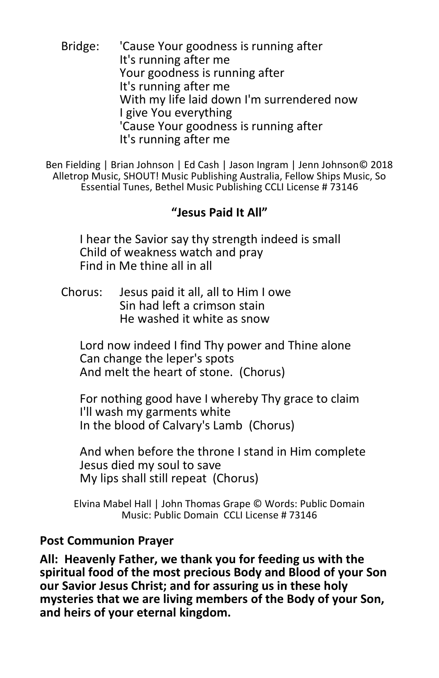Bridge: 'Cause Your goodness is running after It's running after me Your goodness is running after It's running after me With my life laid down I'm surrendered now I give You everything 'Cause Your goodness is running after It's running after me

Ben Fielding | Brian Johnson | Ed Cash | Jason Ingram | Jenn Johnson© 2018 Alletrop Music, SHOUT! Music Publishing Australia, Fellow Ships Music, So Essential Tunes, Bethel Music Publishing CCLI License # 73146

#### **"Jesus Paid It All"**

I hear the Savior say thy strength indeed is small Child of weakness watch and pray Find in Me thine all in all

 Chorus: Jesus paid it all, all to Him I owe Sin had left a crimson stain He washed it white as snow

Lord now indeed I find Thy power and Thine alone Can change the leper's spots And melt the heart of stone. (Chorus)

For nothing good have I whereby Thy grace to claim I'll wash my garments white In the blood of Calvary's Lamb (Chorus)

And when before the throne I stand in Him complete Jesus died my soul to save My lips shall still repeat (Chorus)

Elvina Mabel Hall | John Thomas Grape © Words: Public Domain Music: Public Domain CCLI License # 73146

#### **Post Communion Prayer**

**All: Heavenly Father, we thank you for feeding us with the spiritual food of the most precious Body and Blood of your Son our Savior Jesus Christ; and for assuring us in these holy mysteries that we are living members of the Body of your Son, and heirs of your eternal kingdom.**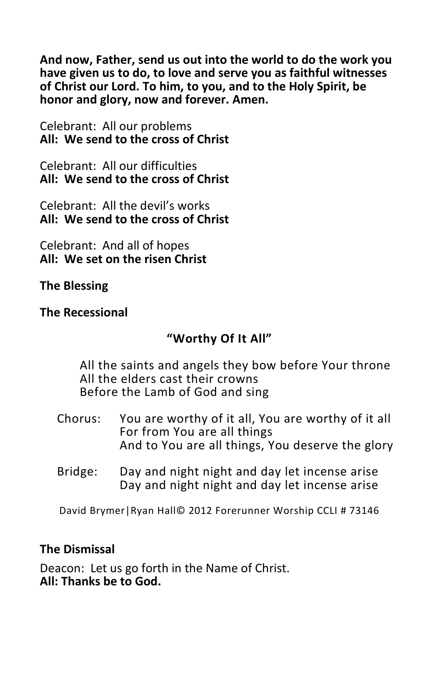**And now, Father, send us out into the world to do the work you have given us to do, to love and serve you as faithful witnesses of Christ our Lord. To him, to you, and to the Holy Spirit, be honor and glory, now and forever. Amen.**

Celebrant: All our problems **All: We send to the cross of Christ**

Celebrant: All our difficulties **All: We send to the cross of Christ**

Celebrant: All the devil's works **All: We send to the cross of Christ**

Celebrant: And all of hopes **All: We set on the risen Christ**

**The Blessing**

#### **The Recessional**

#### **"Worthy Of It All"**

All the saints and angels they bow before Your throne All the elders cast their crowns Before the Lamb of God and sing

- Chorus: You are worthy of it all, You are worthy of it all For from You are all things And to You are all things, You deserve the glory
- Bridge: Day and night night and day let incense arise Day and night night and day let incense arise

David Brymer|Ryan Hall© 2012 Forerunner Worship CCLI # 73146

#### **The Dismissal**

Deacon: Let us go forth in the Name of Christ. **All: Thanks be to God.**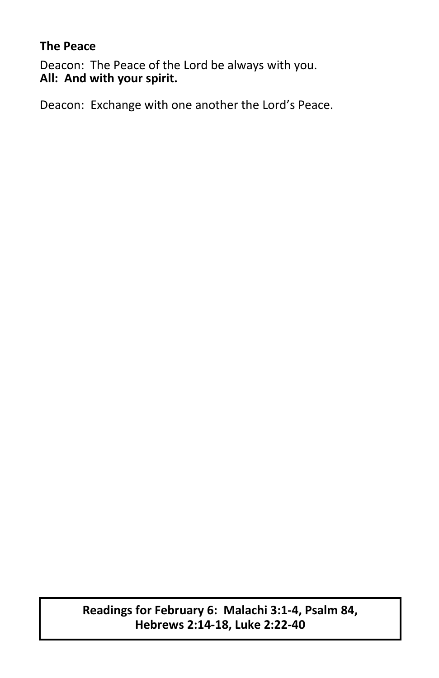#### **The Peace**

Deacon:The Peace of the Lord be always with you. **All: And with your spirit.**

Deacon: Exchange with one another the Lord's Peace.

**Readings for February 6: Malachi 3:1-4, Psalm 84, Hebrews 2:14-18, Luke 2:22-40**